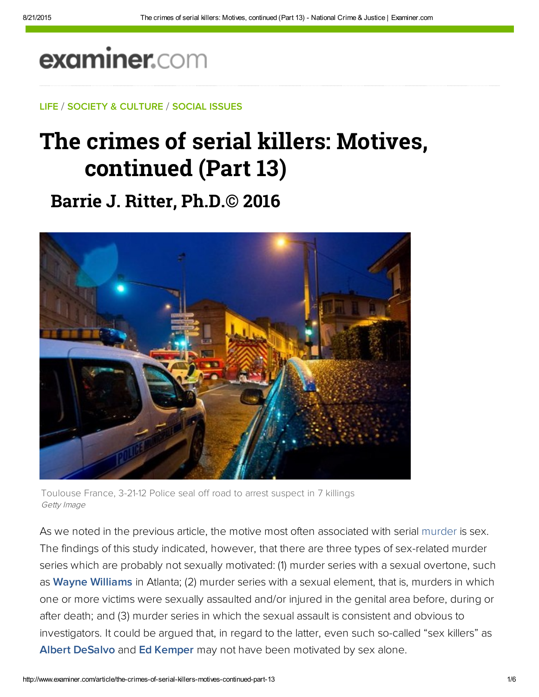# examiner.com

LIFE / SOCIETY & CULTURE / SOCIAL ISSUES

## The crimes of serial killers: Motives, continued (Part 13**)**

### **Barrie J. Ritter, Ph.D.© 2016**



Toulouse France, 3-21-12 Police seal off road to arrest suspect in 7 killings Getty Image

As we noted in the previous article, the motive most often associated with serial murder is sex. The findings of this study indicated, however, that there are three types of sex-related murder series which are probably not sexually motivated: (1) murder series with a sexual overtone, such as [Wayne Williams i](https://en.wikipedia.org/wiki/Wayne_Williams)n Atlanta; (2) murder series with a sexual element, that is, murders in which one or more victims were sexually assaulted and/or injured in the genital area before, during or after death; and (3) murder series in which the sexual assault is consistent and obvious to investigators. It could be argued that, in regard to the latter, even such so-called "sex killers" as [Albert DeSalvo](https://en.wikipedia.org/wiki/Albert_DeSalvo) and [Ed Kemper m](http://bit.ly/oms7S)ay not have been motivated by sex alone.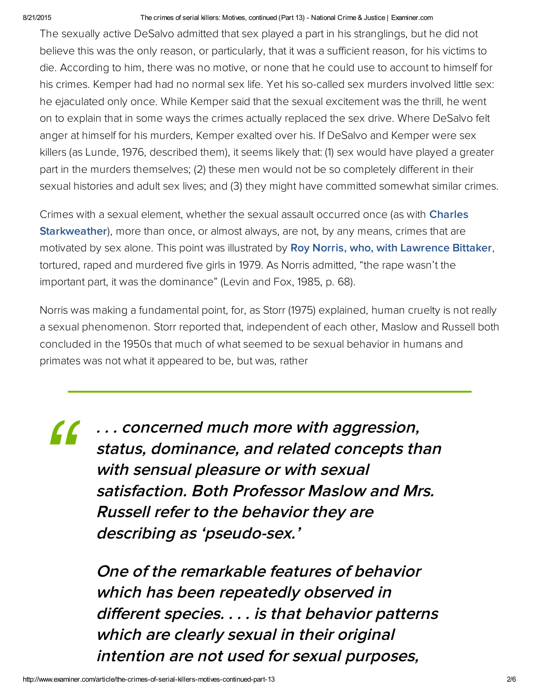#### 8/21/2015 The crimes of serial killers: Motives, continued (Part 13) National Crime & Justice | Examiner.com

The sexually active DeSalvo admitted that sex played a part in his stranglings, but he did not believe this was the only reason, or particularly, that it was a sufficient reason, for his victims to die. According to him, there was no motive, or none that he could use to account to himself for his crimes. Kemper had had no normal sex life. Yet his so-called sex murders involved little sex: he ejaculated only once. While Kemper said that the sexual excitement was the thrill, he went on to explain that in some ways the crimes actually replaced the sex drive. Where DeSalvo felt anger at himself for his murders, Kemper exalted over his. If DeSalvo and Kemper were sex killers (as Lunde, 1976, described them), it seems likely that: (1) sex would have played a greater part in the murders themselves; (2) these men would not be so completely different in their sexual histories and adult sex lives; and (3) they might have committed somewhat similar crimes.

Crimes with a sexual element, whether the sexual assault occurred once (as with **Charles Starkweather)**, more than once, or almost always, are not, by any means, crimes that are motivated by sex alone. This point was illustrated by [Roy Norris, who, with Lawrence Bittaker](http://bit.ly/7ixySS), tortured, raped and murdered five girls in 1979. As Norris admitted, "the rape wasn't the important part, it was the dominance" (Levin and Fox, 1985, p. 68).

Norris was making a fundamental point, for, as Storr (1975) explained, human cruelty is not really a sexual phenomenon. Storr reported that, independent of each other, Maslow and Russell both concluded in the 1950s that much of what seemed to be sexual behavior in humans and primates was not what it appeared to be, but was, rather

. . . concerned much more with aggression, status, dominance, and related concepts than with sensual pleasure or with sexual satisfaction. Both Professor Maslow and Mrs. Russell refer to the behavior they are describing as 'pseudo-sex.' *"*

> One of the remarkable features of behavior which has been repeatedly observed in different species. . . . is that behavior patterns which are clearly sexual in their original intention are not used for sexual purposes,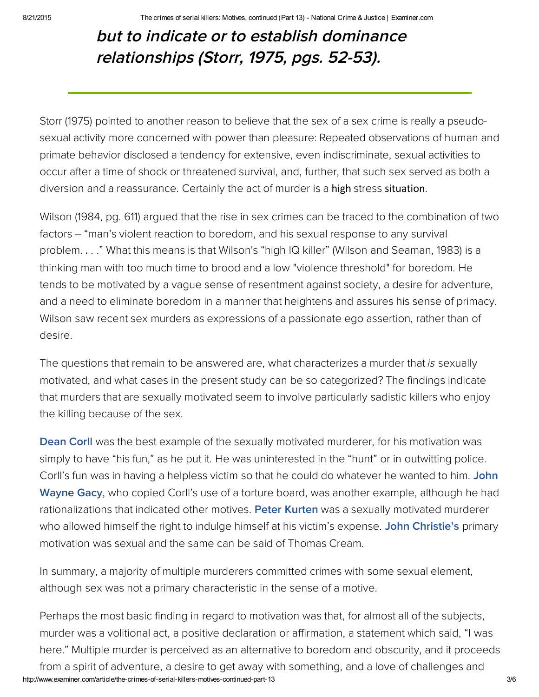## but to indicate or to establish dominance relationships (Storr, 1975, pgs. 52-53).

Storr (1975) pointed to another reason to believe that the sex of a sex crime is really a pseudosexual activity more concerned with power than pleasure: Repeated observations of human and primate behavior disclosed a tendency for extensive, even indiscriminate, sexual activities to occur after a time of shock or threatened survival, and, further, that such sex served as both a diversion and a reassurance. Certainly the act of murder is a high stress situation.

Wilson (1984, pg. 611) argued that the rise in sex crimes can be traced to the combination of two factors – "man's violent reaction to boredom, and his sexual response to any survival problem. . . ." What this means is that Wilson's "high IQ killer" (Wilson and Seaman, 1983) is a thinking man with too much time to brood and a low "violence threshold" for boredom. He tends to be motivated by a vague sense of resentment against society, a desire for adventure, and a need to eliminate boredom in a manner that heightens and assures his sense of primacy. Wilson saw recent sex murders as expressions of a passionate ego assertion, rather than of desire.

The questions that remain to be answered are, what characterizes a murder that is sexually motivated, and what cases in the present study can be so categorized? The findings indicate that murders that are sexually motivated seem to involve particularly sadistic killers who enjoy the killing because of the sex.

**[Dean Corll](https://en.wikipedia.org/wiki/Dean_Corll)** was the best example of the sexually motivated murderer, for his motivation was simply to have "his fun," as he put it. He was uninterested in the "hunt" or in outwitting police. [Corll's fun was in having a helpless victim so that he could do whatever he wanted to him. Joh](http://bit.ly/JMxDjQ)n Wayne Gacy, who copied Corll's use of a torture board, was another example, although he had rationalizations that indicated other motives. [Peter Kurten](http://bit.ly/HDyliL) was a sexually motivated murderer who allowed himself the right to indulge himself at his victim's expense. [John Christie's](https://en.wikipedia.org/wiki/John_Christie_(murderer)) primary motivation was sexual and the same can be said of Thomas Cream.

In summary, a majority of multiple murderers committed crimes with some sexual element, although sex was not a primary characteristic in the sense of a motive.

http://www.examiner.com/article/the-crimes-of-serial-killers-motives-continued-part-13 3/6 Perhaps the most basic finding in regard to motivation was that, for almost all of the subjects, murder was a volitional act, a positive declaration or affirmation, a statement which said, "I was here." Multiple murder is perceived as an alternative to boredom and obscurity, and it proceeds from a spirit of adventure, a desire to get away with something, and a love of challenges and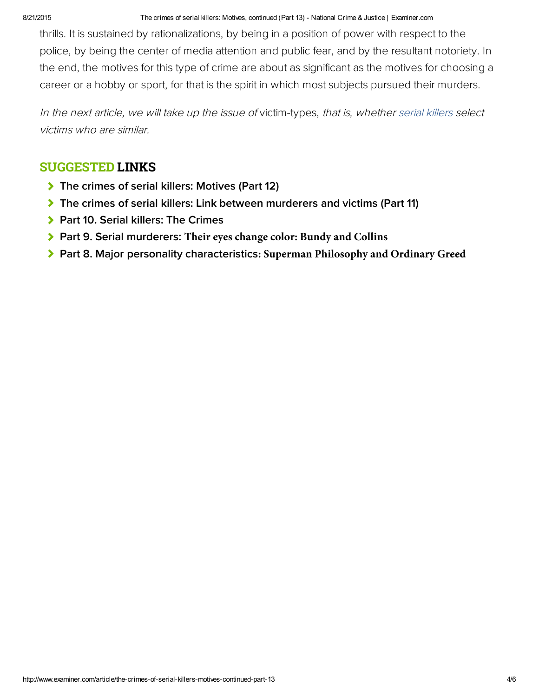8/21/2015 The crimes of serial killers: Motives, continued (Part 13) National Crime & Justice | Examiner.com

thrills. It is sustained by rationalizations, by being in a position of power with respect to the police, by being the center of media attention and public fear, and by the resultant notoriety. In the end, the motives for this type of crime are about as significant as the motives for choosing a career or a hobby or sport, for that is the spirit in which most subjects pursued their murders.

In the next article, we will take up the issue of victim-types, that is, whether serial killers select victims who are similar.

### SUGGESTED LINKS

- [The crimes of serial killers: Motives \(Part 12\)](http://www.ritterhomicideresearch.com/articles/Part-12.pdf)
- [The crimes of serial killers: Link between murderers and victims \(Part 11\)](http://www.examiner.com/article/the-crimes-of-serial-killers-link-between-murderers-and-victims-part-11)
- **> [Part 10. Serial killers: The Crimes](http://www.ritterhomicideresearch.com/articles/Part-10.pdf)**
- Part 9. Serial murderers: **[Their eyes change color: Bundy and Collins](http://www.ritterhomicideresearch.com/articles/Part-9.pdf)**
- Part 8. Major personality characteristics**[: Superman Philosophy and Ordinary Greed](http://www.ritterhomicideresearch.com/articles/Part-8.pdf)**